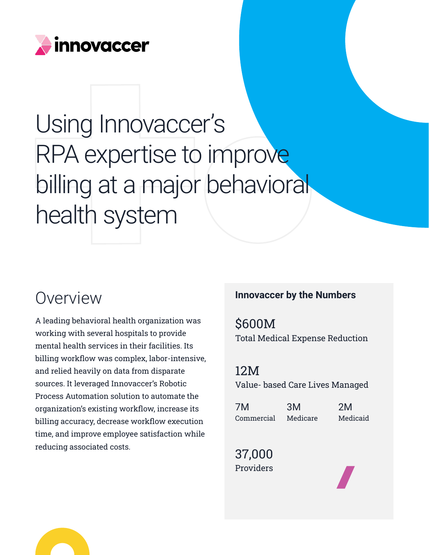

# Using Innovaccer's RPA expertise to improve billing at a major behavioral health system

A leading behavioral health organization was working with several hospitals to provide mental health services in their facilities. Its billing workflow was complex, labor-intensive, and relied heavily on data from disparate sources. It leveraged Innovaccer's Robotic Process Automation solution to automate the organization's existing workflow, increase its billing accuracy, decrease workflow execution time, and improve employee satisfaction while reducing associated costs.

#### **Overview <b>Innovaccer by the Numbers**

\$600M Total Medical Expense Reduction

12M Value- based Care Lives Managed

| 7M         | 3M       | 2M       |
|------------|----------|----------|
| Commercial | Medicare | Medicaid |

37,000 Providers



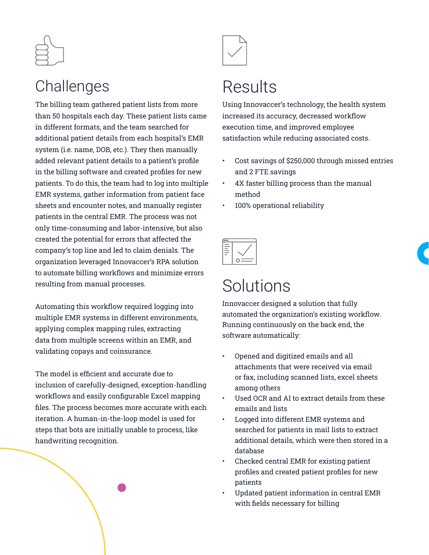

#### Challenges

The billing team gathered patient lists from more than 50 hospitals each day. These patient lists came in different formats, and the team searched for additional patient details from each hospital's EMR system (i.e. name, DOB, etc.). They then manually added relevant patient details to a patient's profile in the billing software and created profiles for new patients. To do this, the team had to log into multiple EMR systems, gather information from patient face sheets and encounter notes, and manually register patients in the central EMR. The process was not only time-consuming and labor-intensive, but also created the potential for errors that affected the company's top line and led to claim denials. The organization leveraged Innovaccer's RPA solution to automate billing workflows and minimize errors resulting from manual processes.

Automating this workflow required logging into multiple EMR systems in different environments, applying complex mapping rules, extracting data from multiple screens within an EMR, and validating copays and coinsurance.

The model is efficient and accurate due to inclusion of carefully-designed, exception-handling workflows and easily configurable Excel mapping files. The process becomes more accurate with each iteration. A human-in-the-loop model is used for steps that bots are initially unable to process, like handwriting recognition.



## Results

Using Innovaccer's technology, the health system increased its accuracy, decreased workflow execution time, and improved employee satisfaction while reducing associated costs.

- Cost savings of \$250,000 through missed entries and 2 FTE savings
- 4X faster billing process than the manual method
- 100% operational reliability

| <b>College</b> |  |
|----------------|--|

### **Solutions**

Innovaccer designed a solution that fully automated the organization's existing workflow. Running continuously on the back end, the software automatically:

- Opened and digitized emails and all attachments that were received via email or fax, including scanned lists, excel sheets among others
- Used OCR and AI to extract details from these emails and lists
- Logged into different EMR systems and searched for patients in mail lists to extract additional details, which were then stored in a database
- Checked central EMR for existing patient profiles and created patient profiles for new patients
- Updated patient information in central EMR with fields necessary for billing